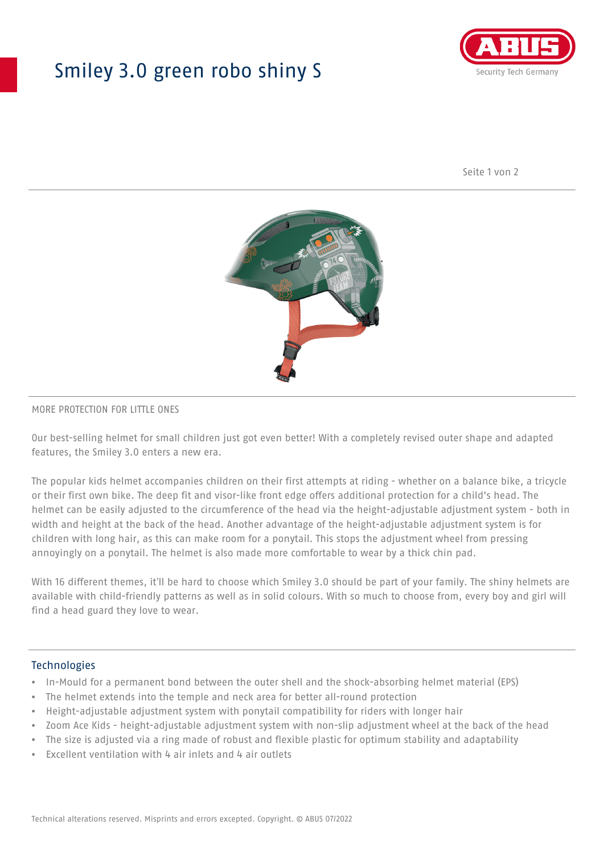## Smiley 3.0 green robo shiny S



Seite 1 von 2



#### MORE PROTECTION FOR LITTLE ONES

Our best-selling helmet for small children just got even better! With a completely revised outer shape and adapted features, the Smiley 3.0 enters a new era.

The popular kids helmet accompanies children on their first attempts at riding - whether on a balance bike, a tricycle or their first own bike. The deep fit and visor-like front edge offers additional protection for a child's head. The helmet can be easily adjusted to the circumference of the head via the height-adjustable adjustment system - both in width and height at the back of the head. Another advantage of the height-adjustable adjustment system is for children with long hair, as this can make room for a ponytail. This stops the adjustment wheel from pressing annoyingly on a ponytail. The helmet is also made more comfortable to wear by a thick chin pad.

With 16 different themes, it'll be hard to choose which Smiley 3.0 should be part of your family. The shiny helmets are available with child-friendly patterns as well as in solid colours. With so much to choose from, every boy and girl will find a head guard they love to wear.

#### Technologies

- In-Mould for a permanent bond between the outer shell and the shock-absorbing helmet material (EPS)
- The helmet extends into the temple and neck area for better all-round protection
- Height-adjustable adjustment system with ponytail compatibility for riders with longer hair
- Zoom Ace Kids height-adjustable adjustment system with non-slip adjustment wheel at the back of the head
- The size is adjusted via a ring made of robust and flexible plastic for optimum stability and adaptability
- Excellent ventilation with 4 air inlets and 4 air outlets